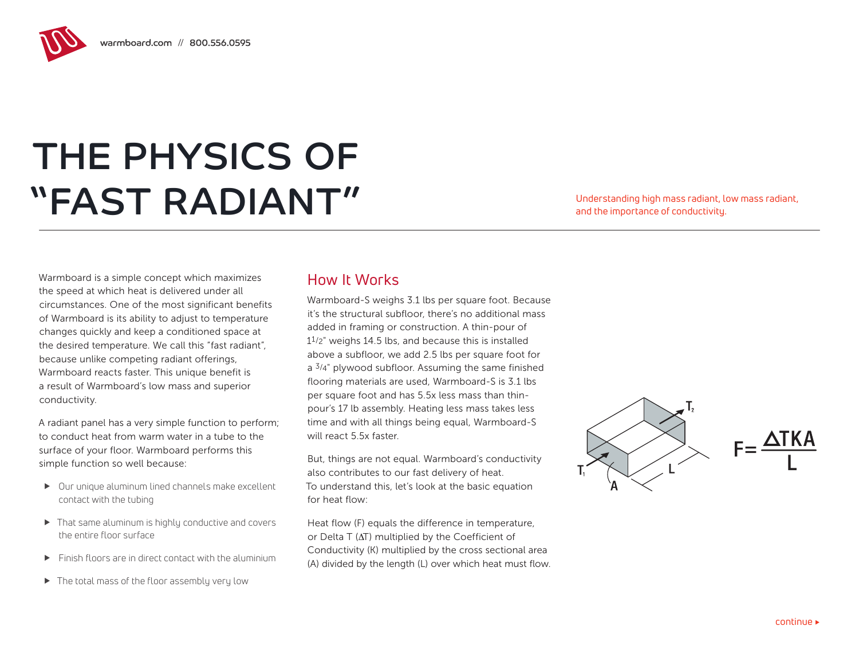warmboard.com // 800.556.0595

## THE PHYSICS OF "FAST RADIANT" Understanding high mass radiant, low mass radiant,

and the importance of conductivity.

Warmboard is a simple concept which maximizes the speed at which heat is delivered under all circumstances. One of the most significant benefits of Warmboard is its ability to adjust to temperature changes quickly and keep a conditioned space at the desired temperature. We call this "fast radiant", because unlike competing radiant offerings, Warmboard reacts faster. This unique benefit is a result of Warmboard's low mass and superior conductivity.

A radiant panel has a very simple function to perform; to conduct heat from warm water in a tube to the surface of your floor. Warmboard performs this simple function so well because:

- $\triangleright$  Our unique aluminum lined channels make excellent contact with the tubing
- $\blacktriangleright$  That same aluminum is highly conductive and covers the entire floor surface
- $\blacktriangleright$  Finish floors are in direct contact with the aluminium
- $\blacktriangleright$  The total mass of the floor assembly very low

## How It Works

Warmboard-S weighs 3.1 lbs per square foot. Because it's the structural subfloor, there's no additional mass added in framing or construction. A thin-pour of 11/2" weighs 14.5 lbs, and because this is installed above a subfloor, we add 2.5 lbs per square foot for  $a^{3/4}$ " plywood subfloor. Assuming the same finished flooring materials are used, Warmboard-S is 3.1 lbs per square foot and has 5.5x less mass than thinpour's 17 lb assembly. Heating less mass takes less time and with all things being equal, Warmboard-S will react 5.5x faster.

But, things are not equal. Warmboard's conductivity also contributes to our fast delivery of heat. To understand this, let's look at the basic equation for heat flow:

Heat flow (F) equals the difference in temperature, or Delta T (∆T) multiplied by the Coefficient of Conductivity (K) multiplied by the cross sectional area (A) divided by the length (L) over which heat must flow.